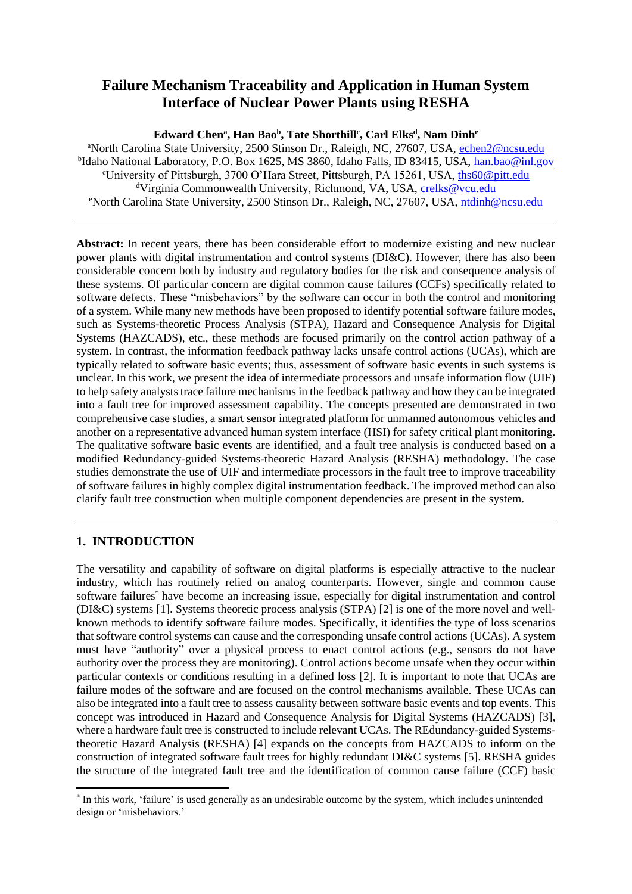# **Failure Mechanism Traceability and Application in Human System Interface of Nuclear Power Plants using RESHA**

#### **Edward Chen<sup>a</sup> , Han Bao<sup>b</sup> , Tate Shorthill<sup>c</sup> , Carl Elks<sup>d</sup> , Nam Dinh<sup>e</sup>**

<sup>a</sup>North Carolina State University, 2500 Stinson Dr., Raleigh, NC, 27607, USA, [echen2@ncsu.edu](mailto:echen2@ncsu.edu) <sup>b</sup>Idaho National Laboratory, P.O. Box 1625, MS 3860, Idaho Falls, ID 83415, USA, <u>han.bao@inl.gov</u> <sup>c</sup>University of Pittsburgh, 3700 O'Hara Street, Pittsburgh, PA 15261, USA, ths60@pitt.edu dVirginia Commonwealth University, Richmond, VA, USA, [crelks@vcu.edu](mailto:crelks@vcu.edu) <sup>e</sup>North Carolina State University, 2500 Stinson Dr., Raleigh, NC, 27607, USA, [ntdinh@ncsu.edu](mailto:ntdinh@ncsu.edu)

**Abstract:** In recent years, there has been considerable effort to modernize existing and new nuclear power plants with digital instrumentation and control systems (DI&C). However, there has also been considerable concern both by industry and regulatory bodies for the risk and consequence analysis of these systems. Of particular concern are digital common cause failures (CCFs) specifically related to software defects. These "misbehaviors" by the software can occur in both the control and monitoring of a system. While many new methods have been proposed to identify potential software failure modes, such as Systems-theoretic Process Analysis (STPA), Hazard and Consequence Analysis for Digital Systems (HAZCADS), etc., these methods are focused primarily on the control action pathway of a system. In contrast, the information feedback pathway lacks unsafe control actions (UCAs), which are typically related to software basic events; thus, assessment of software basic events in such systems is unclear. In this work, we present the idea of intermediate processors and unsafe information flow (UIF) to help safety analysts trace failure mechanisms in the feedback pathway and how they can be integrated into a fault tree for improved assessment capability. The concepts presented are demonstrated in two comprehensive case studies, a smart sensor integrated platform for unmanned autonomous vehicles and another on a representative advanced human system interface (HSI) for safety critical plant monitoring. The qualitative software basic events are identified, and a fault tree analysis is conducted based on a modified Redundancy-guided Systems-theoretic Hazard Analysis (RESHA) methodology. The case studies demonstrate the use of UIF and intermediate processors in the fault tree to improve traceability of software failures in highly complex digital instrumentation feedback. The improved method can also clarify fault tree construction when multiple component dependencies are present in the system.

## **1. INTRODUCTION**

The versatility and capability of software on digital platforms is especially attractive to the nuclear industry, which has routinely relied on analog counterparts. However, single and common cause software failures\* have become an increasing issue, especially for digital instrumentation and control (DI&C) systems [1]. Systems theoretic process analysis (STPA) [2] is one of the more novel and wellknown methods to identify software failure modes. Specifically, it identifies the type of loss scenarios that software control systems can cause and the corresponding unsafe control actions (UCAs). A system must have "authority" over a physical process to enact control actions (e.g., sensors do not have authority over the process they are monitoring). Control actions become unsafe when they occur within particular contexts or conditions resulting in a defined loss [2]. It is important to note that UCAs are failure modes of the software and are focused on the control mechanisms available. These UCAs can also be integrated into a fault tree to assess causality between software basic events and top events. This concept was introduced in Hazard and Consequence Analysis for Digital Systems (HAZCADS) [3], where a hardware fault tree is constructed to include relevant UCAs. The REdundancy-guided Systemstheoretic Hazard Analysis (RESHA) [4] expands on the concepts from HAZCADS to inform on the construction of integrated software fault trees for highly redundant DI&C systems [5]. RESHA guides the structure of the integrated fault tree and the identification of common cause failure (CCF) basic

<sup>\*</sup> In this work, 'failure' is used generally as an undesirable outcome by the system, which includes unintended design or 'misbehaviors.'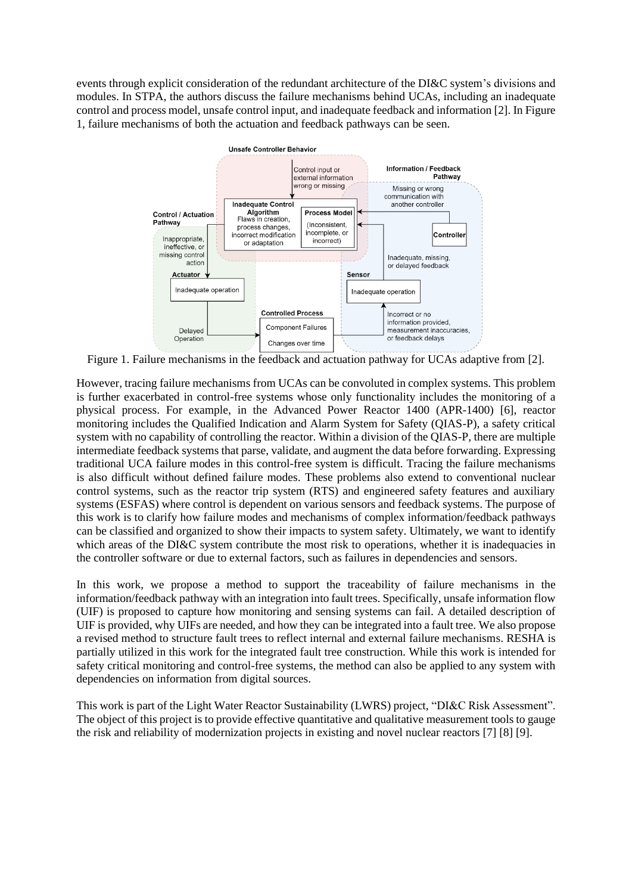events through explicit consideration of the redundant architecture of the DI&C system's divisions and modules. In STPA, the authors discuss the failure mechanisms behind UCAs, including an inadequate control and process model, unsafe control input, and inadequate feedback and information [2]. In [Figure](#page-1-0) [1,](#page-1-0) failure mechanisms of both the actuation and feedback pathways can be seen.



<span id="page-1-0"></span>Figure 1. Failure mechanisms in the feedback and actuation pathway for UCAs adaptive from [2].

However, tracing failure mechanisms from UCAs can be convoluted in complex systems. This problem is further exacerbated in control-free systems whose only functionality includes the monitoring of a physical process. For example, in the Advanced Power Reactor 1400 (APR-1400) [6], reactor monitoring includes the Qualified Indication and Alarm System for Safety (QIAS-P), a safety critical system with no capability of controlling the reactor. Within a division of the QIAS-P, there are multiple intermediate feedback systems that parse, validate, and augment the data before forwarding. Expressing traditional UCA failure modes in this control-free system is difficult. Tracing the failure mechanisms is also difficult without defined failure modes. These problems also extend to conventional nuclear control systems, such as the reactor trip system (RTS) and engineered safety features and auxiliary systems (ESFAS) where control is dependent on various sensors and feedback systems. The purpose of this work is to clarify how failure modes and mechanisms of complex information/feedback pathways can be classified and organized to show their impacts to system safety. Ultimately, we want to identify which areas of the DI&C system contribute the most risk to operations, whether it is inadequacies in the controller software or due to external factors, such as failures in dependencies and sensors.

In this work, we propose a method to support the traceability of failure mechanisms in the information/feedback pathway with an integration into fault trees. Specifically, unsafe information flow (UIF) is proposed to capture how monitoring and sensing systems can fail. A detailed description of UIF is provided, why UIFs are needed, and how they can be integrated into a fault tree. We also propose a revised method to structure fault trees to reflect internal and external failure mechanisms. RESHA is partially utilized in this work for the integrated fault tree construction. While this work is intended for safety critical monitoring and control-free systems, the method can also be applied to any system with dependencies on information from digital sources.

This work is part of the Light Water Reactor Sustainability (LWRS) project, "DI&C Risk Assessment". The object of this project is to provide effective quantitative and qualitative measurement tools to gauge the risk and reliability of modernization projects in existing and novel nuclear reactors [7] [8] [9].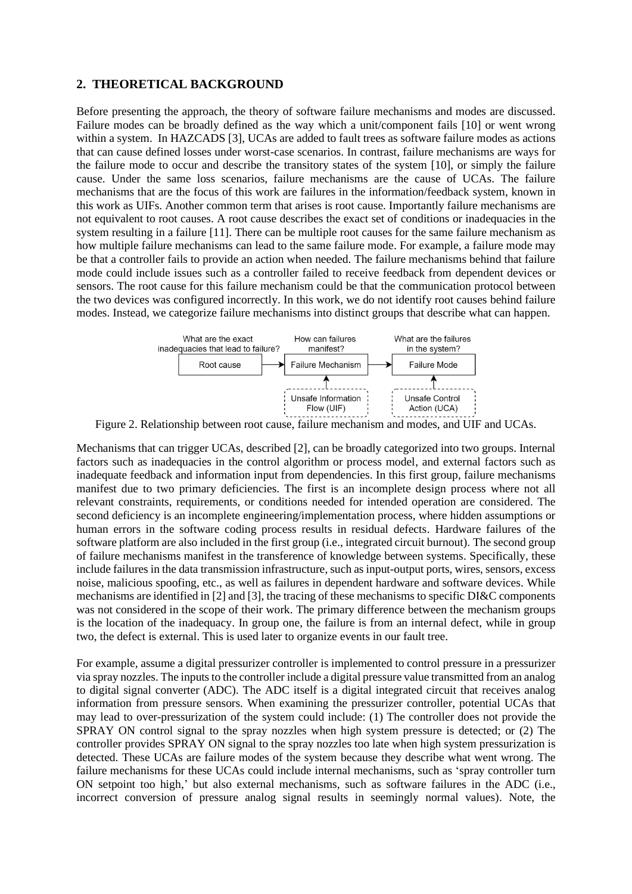## **2. THEORETICAL BACKGROUND**

Before presenting the approach, the theory of software failure mechanisms and modes are discussed. Failure modes can be broadly defined as the way which a unit/component fails [10] or went wrong within a system. In HAZCADS [3], UCAs are added to fault trees as software failure modes as actions that can cause defined losses under worst-case scenarios. In contrast, failure mechanisms are ways for the failure mode to occur and describe the transitory states of the system [10], or simply the failure cause. Under the same loss scenarios, failure mechanisms are the cause of UCAs. The failure mechanisms that are the focus of this work are failures in the information/feedback system, known in this work as UIFs. Another common term that arises is root cause. Importantly failure mechanisms are not equivalent to root causes. A root cause describes the exact set of conditions or inadequacies in the system resulting in a failure [11]. There can be multiple root causes for the same failure mechanism as how multiple failure mechanisms can lead to the same failure mode. For example, a failure mode may be that a controller fails to provide an action when needed. The failure mechanisms behind that failure mode could include issues such as a controller failed to receive feedback from dependent devices or sensors. The root cause for this failure mechanism could be that the communication protocol between the two devices was configured incorrectly. In this work, we do not identify root causes behind failure modes. Instead, we categorize failure mechanisms into distinct groups that describe what can happen.



Figure 2. Relationship between root cause, failure mechanism and modes, and UIF and UCAs.

Mechanisms that can trigger UCAs, described [2], can be broadly categorized into two groups. Internal factors such as inadequacies in the control algorithm or process model, and external factors such as inadequate feedback and information input from dependencies. In this first group, failure mechanisms manifest due to two primary deficiencies. The first is an incomplete design process where not all relevant constraints, requirements, or conditions needed for intended operation are considered. The second deficiency is an incomplete engineering/implementation process, where hidden assumptions or human errors in the software coding process results in residual defects. Hardware failures of the software platform are also included in the first group (i.e., integrated circuit burnout). The second group of failure mechanisms manifest in the transference of knowledge between systems. Specifically, these include failures in the data transmission infrastructure, such as input-output ports, wires, sensors, excess noise, malicious spoofing, etc., as well as failures in dependent hardware and software devices. While mechanisms are identified in [2] and [3], the tracing of these mechanisms to specific DI&C components was not considered in the scope of their work. The primary difference between the mechanism groups is the location of the inadequacy. In group one, the failure is from an internal defect, while in group two, the defect is external. This is used later to organize events in our fault tree.

For example, assume a digital pressurizer controller is implemented to control pressure in a pressurizer via spray nozzles. The inputs to the controller include a digital pressure value transmitted from an analog to digital signal converter (ADC). The ADC itself is a digital integrated circuit that receives analog information from pressure sensors. When examining the pressurizer controller, potential UCAs that may lead to over-pressurization of the system could include: (1) The controller does not provide the SPRAY ON control signal to the spray nozzles when high system pressure is detected; or (2) The controller provides SPRAY ON signal to the spray nozzles too late when high system pressurization is detected. These UCAs are failure modes of the system because they describe what went wrong. The failure mechanisms for these UCAs could include internal mechanisms, such as 'spray controller turn ON setpoint too high,' but also external mechanisms, such as software failures in the ADC (i.e., incorrect conversion of pressure analog signal results in seemingly normal values). Note, the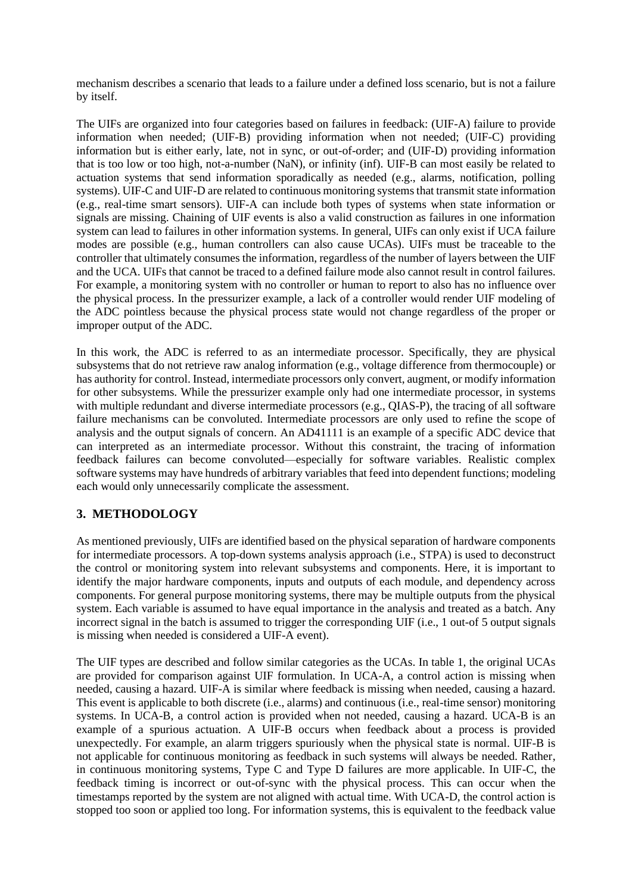mechanism describes a scenario that leads to a failure under a defined loss scenario, but is not a failure by itself.

The UIFs are organized into four categories based on failures in feedback: (UIF-A) failure to provide information when needed; (UIF-B) providing information when not needed; (UIF-C) providing information but is either early, late, not in sync, or out-of-order; and (UIF-D) providing information that is too low or too high, not-a-number (NaN), or infinity (inf). UIF-B can most easily be related to actuation systems that send information sporadically as needed (e.g., alarms, notification, polling systems). UIF-C and UIF-D are related to continuous monitoring systems that transmit state information (e.g., real-time smart sensors). UIF-A can include both types of systems when state information or signals are missing. Chaining of UIF events is also a valid construction as failures in one information system can lead to failures in other information systems. In general, UIFs can only exist if UCA failure modes are possible (e.g., human controllers can also cause UCAs). UIFs must be traceable to the controller that ultimately consumes the information, regardless of the number of layers between the UIF and the UCA. UIFs that cannot be traced to a defined failure mode also cannot result in control failures. For example, a monitoring system with no controller or human to report to also has no influence over the physical process. In the pressurizer example, a lack of a controller would render UIF modeling of the ADC pointless because the physical process state would not change regardless of the proper or improper output of the ADC.

In this work, the ADC is referred to as an intermediate processor. Specifically, they are physical subsystems that do not retrieve raw analog information (e.g., voltage difference from thermocouple) or has authority for control. Instead, intermediate processors only convert, augment, or modify information for other subsystems. While the pressurizer example only had one intermediate processor, in systems with multiple redundant and diverse intermediate processors (e.g., QIAS-P), the tracing of all software failure mechanisms can be convoluted. Intermediate processors are only used to refine the scope of analysis and the output signals of concern. An AD41111 is an example of a specific ADC device that can interpreted as an intermediate processor. Without this constraint, the tracing of information feedback failures can become convoluted—especially for software variables. Realistic complex software systems may have hundreds of arbitrary variables that feed into dependent functions; modeling each would only unnecessarily complicate the assessment.

## **3. METHODOLOGY**

As mentioned previously, UIFs are identified based on the physical separation of hardware components for intermediate processors. A top-down systems analysis approach (i.e., STPA) is used to deconstruct the control or monitoring system into relevant subsystems and components. Here, it is important to identify the major hardware components, inputs and outputs of each module, and dependency across components. For general purpose monitoring systems, there may be multiple outputs from the physical system. Each variable is assumed to have equal importance in the analysis and treated as a batch. Any incorrect signal in the batch is assumed to trigger the corresponding UIF (i.e., 1 out-of 5 output signals is missing when needed is considered a UIF-A event).

The UIF types are described and follow similar categories as the UCAs. In table 1, the original UCAs are provided for comparison against UIF formulation. In UCA-A, a control action is missing when needed, causing a hazard. UIF-A is similar where feedback is missing when needed, causing a hazard. This event is applicable to both discrete (i.e., alarms) and continuous (i.e., real-time sensor) monitoring systems. In UCA-B, a control action is provided when not needed, causing a hazard. UCA-B is an example of a spurious actuation. A UIF-B occurs when feedback about a process is provided unexpectedly. For example, an alarm triggers spuriously when the physical state is normal. UIF-B is not applicable for continuous monitoring as feedback in such systems will always be needed. Rather, in continuous monitoring systems, Type C and Type D failures are more applicable. In UIF-C, the feedback timing is incorrect or out-of-sync with the physical process. This can occur when the timestamps reported by the system are not aligned with actual time. With UCA-D, the control action is stopped too soon or applied too long. For information systems, this is equivalent to the feedback value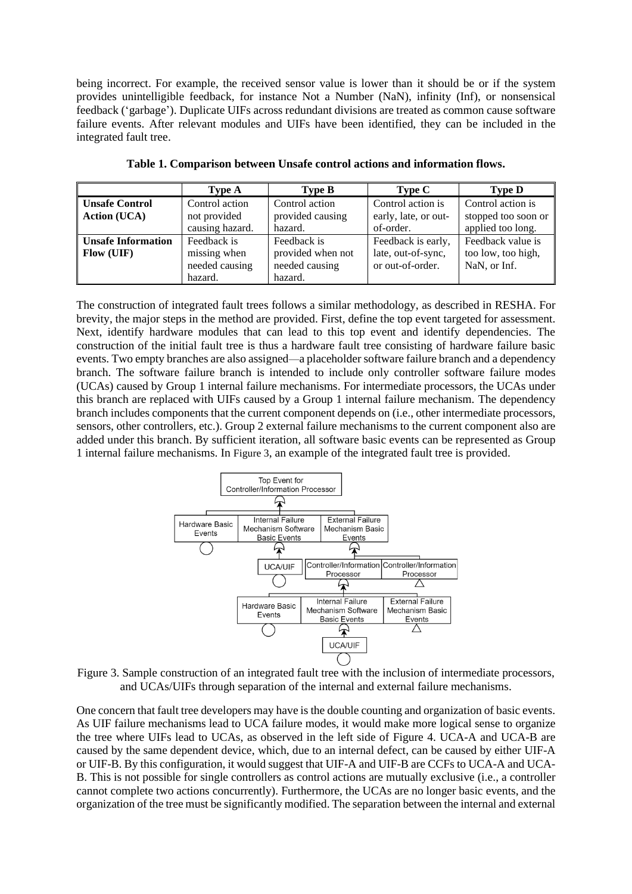being incorrect. For example, the received sensor value is lower than it should be or if the system provides unintelligible feedback, for instance Not a Number (NaN), infinity (Inf), or nonsensical feedback ('garbage'). Duplicate UIFs across redundant divisions are treated as common cause software failure events. After relevant modules and UIFs have been identified, they can be included in the integrated fault tree.

|                                              | <b>Type A</b>                                     | <b>Type B</b>                                      | Type C                                                       | <b>Type D</b>                                                 |
|----------------------------------------------|---------------------------------------------------|----------------------------------------------------|--------------------------------------------------------------|---------------------------------------------------------------|
| <b>Unsafe Control</b><br><b>Action</b> (UCA) | Control action<br>not provided<br>causing hazard. | Control action<br>provided causing<br>hazard.      | Control action is<br>early, late, or out-<br>of-order.       | Control action is<br>stopped too soon or<br>applied too long. |
| <b>Unsafe Information</b><br>Flow (UIF)      | Feedback is<br>missing when<br>needed causing     | Feedback is<br>provided when not<br>needed causing | Feedback is early,<br>late, out-of-sync,<br>or out-of-order. | Feedback value is<br>too low, too high,<br>NaN, or Inf.       |
|                                              | hazard.                                           | hazard.                                            |                                                              |                                                               |

**Table 1. Comparison between Unsafe control actions and information flows.**

The construction of integrated fault trees follows a similar methodology, as described in RESHA. For brevity, the major steps in the method are provided. First, define the top event targeted for assessment. Next, identify hardware modules that can lead to this top event and identify dependencies. The construction of the initial fault tree is thus a hardware fault tree consisting of hardware failure basic events. Two empty branches are also assigned—a placeholder software failure branch and a dependency branch. The software failure branch is intended to include only controller software failure modes (UCAs) caused by Group 1 internal failure mechanisms. For intermediate processors, the UCAs under this branch are replaced with UIFs caused by a Group 1 internal failure mechanism. The dependency branch includes components that the current component depends on (i.e., other intermediate processors, sensors, other controllers, etc.). Group 2 external failure mechanisms to the current component also are added under this branch. By sufficient iteration, all software basic events can be represented as Group 1 internal failure mechanisms. In Figure 3, an example of the integrated fault tree is provided.



Figure 3. Sample construction of an integrated fault tree with the inclusion of intermediate processors, and UCAs/UIFs through separation of the internal and external failure mechanisms.

One concern that fault tree developers may have is the double counting and organization of basic events. As UIF failure mechanisms lead to UCA failure modes, it would make more logical sense to organize the tree where UIFs lead to UCAs, as observed in the left side of Figure 4. UCA-A and UCA-B are caused by the same dependent device, which, due to an internal defect, can be caused by either UIF-A or UIF-B. By this configuration, it would suggest that UIF-A and UIF-B are CCFs to UCA-A and UCA-B. This is not possible for single controllers as control actions are mutually exclusive (i.e., a controller cannot complete two actions concurrently). Furthermore, the UCAs are no longer basic events, and the organization of the tree must be significantly modified. The separation between the internal and external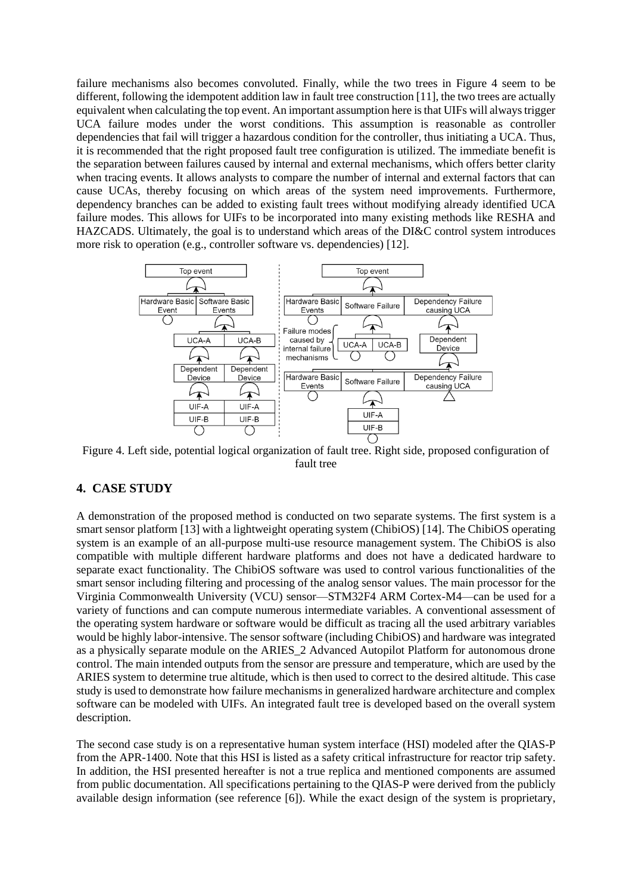failure mechanisms also becomes convoluted. Finally, while the two trees in Figure 4 seem to be different, following the idempotent addition law in fault tree construction [11], the two trees are actually equivalent when calculating the top event. An important assumption here is that UIFs will always trigger UCA failure modes under the worst conditions. This assumption is reasonable as controller dependencies that fail will trigger a hazardous condition for the controller, thus initiating a UCA. Thus, it is recommended that the right proposed fault tree configuration is utilized. The immediate benefit is the separation between failures caused by internal and external mechanisms, which offers better clarity when tracing events. It allows analysts to compare the number of internal and external factors that can cause UCAs, thereby focusing on which areas of the system need improvements. Furthermore, dependency branches can be added to existing fault trees without modifying already identified UCA failure modes. This allows for UIFs to be incorporated into many existing methods like RESHA and HAZCADS. Ultimately, the goal is to understand which areas of the DI&C control system introduces more risk to operation (e.g., controller software vs. dependencies) [12].



Figure 4. Left side, potential logical organization of fault tree. Right side, proposed configuration of fault tree

### **4. CASE STUDY**

A demonstration of the proposed method is conducted on two separate systems. The first system is a smart sensor platform [13] with a lightweight operating system (ChibiOS) [14]. The ChibiOS operating system is an example of an all-purpose multi-use resource management system. The ChibiOS is also compatible with multiple different hardware platforms and does not have a dedicated hardware to separate exact functionality. The ChibiOS software was used to control various functionalities of the smart sensor including filtering and processing of the analog sensor values. The main processor for the Virginia Commonwealth University (VCU) sensor—STM32F4 ARM Cortex-M4—can be used for a variety of functions and can compute numerous intermediate variables. A conventional assessment of the operating system hardware or software would be difficult as tracing all the used arbitrary variables would be highly labor-intensive. The sensor software (including ChibiOS) and hardware was integrated as a physically separate module on the ARIES\_2 Advanced Autopilot Platform for autonomous drone control. The main intended outputs from the sensor are pressure and temperature, which are used by the ARIES system to determine true altitude, which is then used to correct to the desired altitude. This case study is used to demonstrate how failure mechanisms in generalized hardware architecture and complex software can be modeled with UIFs. An integrated fault tree is developed based on the overall system description.

The second case study is on a representative human system interface (HSI) modeled after the QIAS-P from the APR-1400. Note that this HSI is listed as a safety critical infrastructure for reactor trip safety. In addition, the HSI presented hereafter is not a true replica and mentioned components are assumed from public documentation. All specifications pertaining to the QIAS-P were derived from the publicly available design information (see reference [6]). While the exact design of the system is proprietary,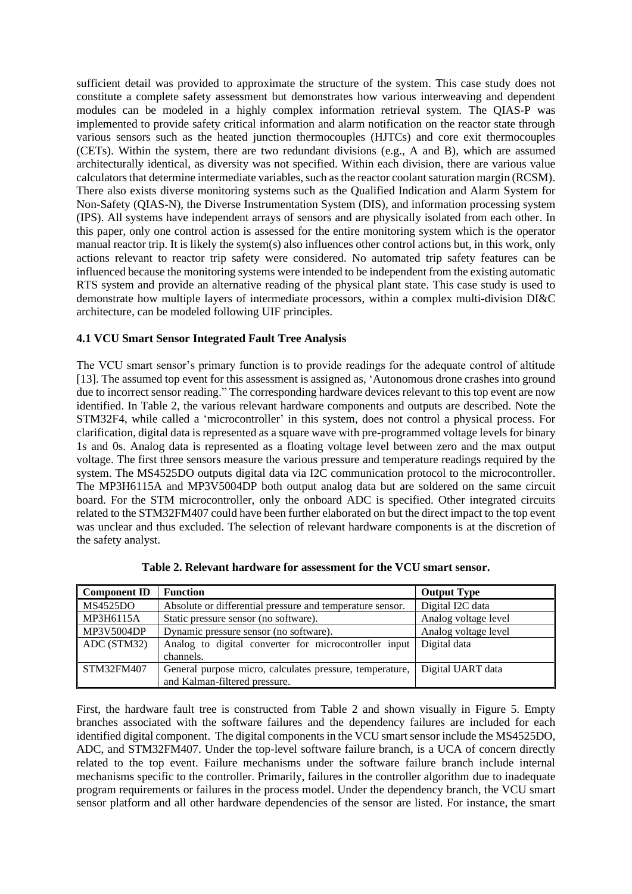sufficient detail was provided to approximate the structure of the system. This case study does not constitute a complete safety assessment but demonstrates how various interweaving and dependent modules can be modeled in a highly complex information retrieval system. The QIAS-P was implemented to provide safety critical information and alarm notification on the reactor state through various sensors such as the heated junction thermocouples (HJTCs) and core exit thermocouples (CETs). Within the system, there are two redundant divisions (e.g., A and B), which are assumed architecturally identical, as diversity was not specified. Within each division, there are various value calculators that determine intermediate variables, such as the reactor coolant saturation margin (RCSM). There also exists diverse monitoring systems such as the Qualified Indication and Alarm System for Non-Safety (QIAS-N), the Diverse Instrumentation System (DIS), and information processing system (IPS). All systems have independent arrays of sensors and are physically isolated from each other. In this paper, only one control action is assessed for the entire monitoring system which is the operator manual reactor trip. It is likely the system(s) also influences other control actions but, in this work, only actions relevant to reactor trip safety were considered. No automated trip safety features can be influenced because the monitoring systems were intended to be independent from the existing automatic RTS system and provide an alternative reading of the physical plant state. This case study is used to demonstrate how multiple layers of intermediate processors, within a complex multi-division DI&C architecture, can be modeled following UIF principles.

#### **4.1 VCU Smart Sensor Integrated Fault Tree Analysis**

The VCU smart sensor's primary function is to provide readings for the adequate control of altitude [13]. The assumed top event for this assessment is assigned as, 'Autonomous drone crashes into ground due to incorrect sensor reading." The corresponding hardware devices relevant to this top event are now identified. In [Table 2,](#page-6-0) the various relevant hardware components and outputs are described. Note the STM32F4, while called a 'microcontroller' in this system, does not control a physical process. For clarification, digital data is represented as a square wave with pre-programmed voltage levels for binary 1s and 0s. Analog data is represented as a floating voltage level between zero and the max output voltage. The first three sensors measure the various pressure and temperature readings required by the system. The MS4525DO outputs digital data via I2C communication protocol to the microcontroller. The MP3H6115A and MP3V5004DP both output analog data but are soldered on the same circuit board. For the STM microcontroller, only the onboard ADC is specified. Other integrated circuits related to the STM32FM407 could have been further elaborated on but the direct impact to the top event was unclear and thus excluded. The selection of relevant hardware components is at the discretion of the safety analyst.

<span id="page-6-0"></span>

| <b>Component ID</b> | <b>Function</b>                                           | <b>Output Type</b>   |
|---------------------|-----------------------------------------------------------|----------------------|
| <b>MS4525DO</b>     | Absolute or differential pressure and temperature sensor. | Digital I2C data     |
| MP3H6115A           | Static pressure sensor (no software).                     | Analog voltage level |
| MP3V5004DP          | Dynamic pressure sensor (no software).                    | Analog voltage level |
| ADC (STM32)         | Analog to digital converter for microcontroller input     | Digital data         |
|                     | channels.                                                 |                      |
| STM32FM407          | General purpose micro, calculates pressure, temperature,  | Digital UART data    |
|                     | and Kalman-filtered pressure.                             |                      |

**Table 2. Relevant hardware for assessment for the VCU smart sensor.**

First, the hardware fault tree is constructed from [Table 2](#page-6-0) and shown visually in Figure 5. Empty branches associated with the software failures and the dependency failures are included for each identified digital component. The digital components in the VCU smart sensor include the MS4525DO, ADC, and STM32FM407. Under the top-level software failure branch, is a UCA of concern directly related to the top event. Failure mechanisms under the software failure branch include internal mechanisms specific to the controller. Primarily, failures in the controller algorithm due to inadequate program requirements or failures in the process model. Under the dependency branch, the VCU smart sensor platform and all other hardware dependencies of the sensor are listed. For instance, the smart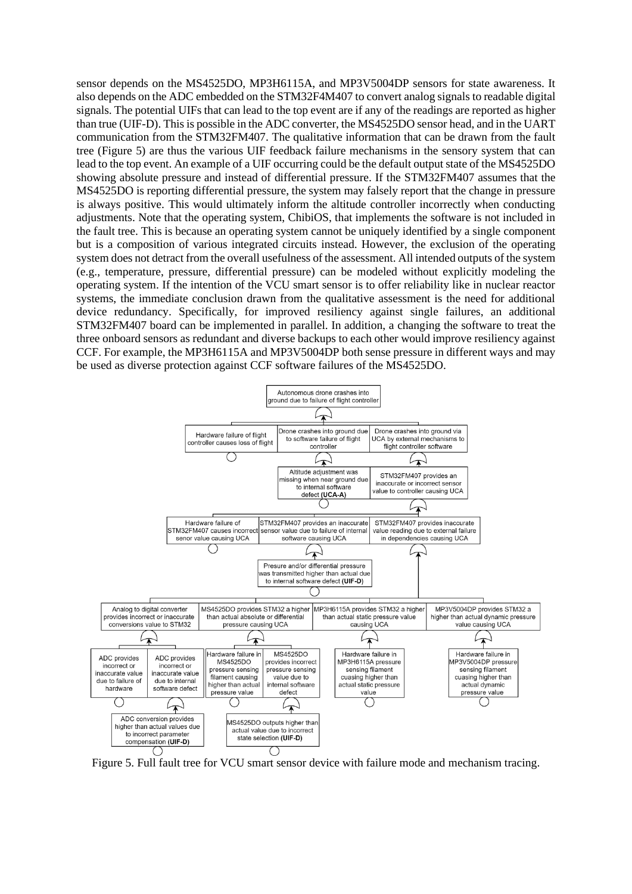sensor depends on the MS4525DO, MP3H6115A, and MP3V5004DP sensors for state awareness. It also depends on the ADC embedded on the STM32F4M407 to convert analog signals to readable digital signals. The potential UIFs that can lead to the top event are if any of the readings are reported as higher than true (UIF-D). This is possible in the ADC converter, the MS4525DO sensor head, and in the UART communication from the STM32FM407. The qualitative information that can be drawn from the fault tree (Figure 5) are thus the various UIF feedback failure mechanisms in the sensory system that can lead to the top event. An example of a UIF occurring could be the default output state of the MS4525DO showing absolute pressure and instead of differential pressure. If the STM32FM407 assumes that the MS4525DO is reporting differential pressure, the system may falsely report that the change in pressure is always positive. This would ultimately inform the altitude controller incorrectly when conducting adjustments. Note that the operating system, ChibiOS, that implements the software is not included in the fault tree. This is because an operating system cannot be uniquely identified by a single component but is a composition of various integrated circuits instead. However, the exclusion of the operating system does not detract from the overall usefulness of the assessment. All intended outputs of the system (e.g., temperature, pressure, differential pressure) can be modeled without explicitly modeling the operating system. If the intention of the VCU smart sensor is to offer reliability like in nuclear reactor systems, the immediate conclusion drawn from the qualitative assessment is the need for additional device redundancy. Specifically, for improved resiliency against single failures, an additional STM32FM407 board can be implemented in parallel. In addition, a changing the software to treat the three onboard sensors as redundant and diverse backups to each other would improve resiliency against CCF. For example, the MP3H6115A and MP3V5004DP both sense pressure in different ways and may be used as diverse protection against CCF software failures of the MS4525DO.



Figure 5. Full fault tree for VCU smart sensor device with failure mode and mechanism tracing.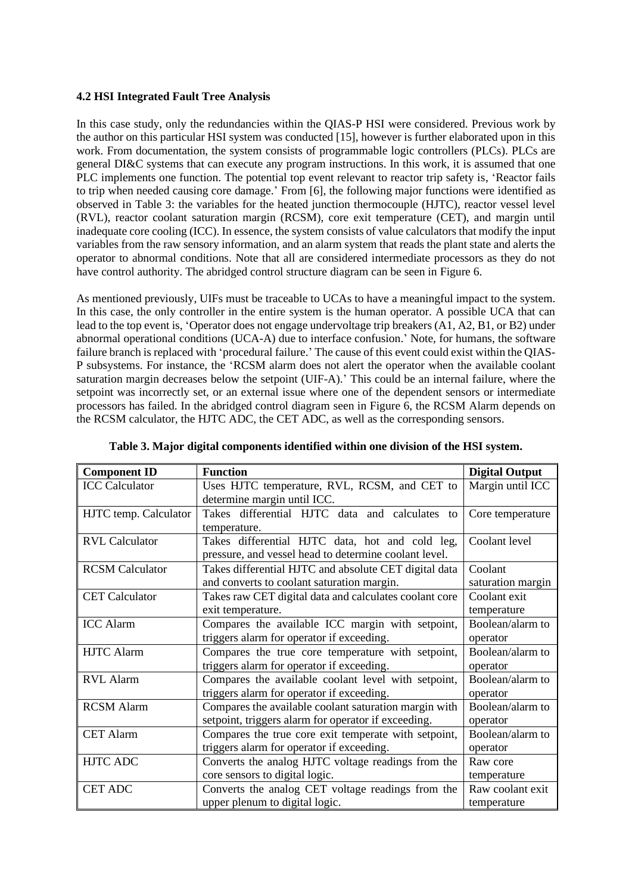### **4.2 HSI Integrated Fault Tree Analysis**

In this case study, only the redundancies within the QIAS-P HSI were considered. Previous work by the author on this particular HSI system was conducted [15], however is further elaborated upon in this work. From documentation, the system consists of programmable logic controllers (PLCs). PLCs are general DI&C systems that can execute any program instructions. In this work, it is assumed that one PLC implements one function. The potential top event relevant to reactor trip safety is, 'Reactor fails to trip when needed causing core damage.' From [6], the following major functions were identified as observed in Table 3: the variables for the heated junction thermocouple (HJTC), reactor vessel level (RVL), reactor coolant saturation margin (RCSM), core exit temperature (CET), and margin until inadequate core cooling (ICC). In essence, the system consists of value calculators that modify the input variables from the raw sensory information, and an alarm system that reads the plant state and alerts the operator to abnormal conditions. Note that all are considered intermediate processors as they do not have control authority. The abridged control structure diagram can be seen in Figure 6.

As mentioned previously, UIFs must be traceable to UCAs to have a meaningful impact to the system. In this case, the only controller in the entire system is the human operator. A possible UCA that can lead to the top event is, 'Operator does not engage undervoltage trip breakers (A1, A2, B1, or B2) under abnormal operational conditions (UCA-A) due to interface confusion.' Note, for humans, the software failure branch is replaced with 'procedural failure.' The cause of this event could exist within the QIAS-P subsystems. For instance, the 'RCSM alarm does not alert the operator when the available coolant saturation margin decreases below the setpoint (UIF-A).' This could be an internal failure, where the setpoint was incorrectly set, or an external issue where one of the dependent sensors or intermediate processors has failed. In the abridged control diagram seen in Figure 6, the RCSM Alarm depends on the RCSM calculator, the HJTC ADC, the CET ADC, as well as the corresponding sensors.

| <b>Component ID</b>    | <b>Function</b>                                        | <b>Digital Output</b> |
|------------------------|--------------------------------------------------------|-----------------------|
| <b>ICC</b> Calculator  | Uses HJTC temperature, RVL, RCSM, and CET to           | Margin until ICC      |
|                        | determine margin until ICC.                            |                       |
| HJTC temp. Calculator  | Takes differential HJTC data and calculates to         | Core temperature      |
|                        | temperature.                                           |                       |
| <b>RVL Calculator</b>  | Takes differential HJTC data, hot and cold leg,        | Coolant level         |
|                        | pressure, and vessel head to determine coolant level.  |                       |
| <b>RCSM</b> Calculator | Takes differential HJTC and absolute CET digital data  | Coolant               |
|                        | and converts to coolant saturation margin.             | saturation margin     |
| <b>CET</b> Calculator  | Takes raw CET digital data and calculates coolant core | Coolant exit          |
|                        | exit temperature.                                      | temperature           |
| <b>ICC</b> Alarm       | Compares the available ICC margin with setpoint,       | Boolean/alarm to      |
|                        | triggers alarm for operator if exceeding.              | operator              |
| <b>HJTC</b> Alarm      | Compares the true core temperature with setpoint,      | Boolean/alarm to      |
|                        | triggers alarm for operator if exceeding.              | operator              |
| <b>RVL</b> Alarm       | Compares the available coolant level with setpoint,    | Boolean/alarm to      |
|                        | triggers alarm for operator if exceeding.              | operator              |
| <b>RCSM</b> Alarm      | Compares the available coolant saturation margin with  | Boolean/alarm to      |
|                        | setpoint, triggers alarm for operator if exceeding.    | operator              |
| <b>CET Alarm</b>       | Compares the true core exit temperate with setpoint,   | Boolean/alarm to      |
|                        | triggers alarm for operator if exceeding.              | operator              |
| <b>HJTC ADC</b>        | Converts the analog HJTC voltage readings from the     | Raw core              |
|                        | core sensors to digital logic.                         | temperature           |
| <b>CET ADC</b>         | Converts the analog CET voltage readings from the      | Raw coolant exit      |
|                        | upper plenum to digital logic.                         | temperature           |

**Table 3. Major digital components identified within one division of the HSI system.**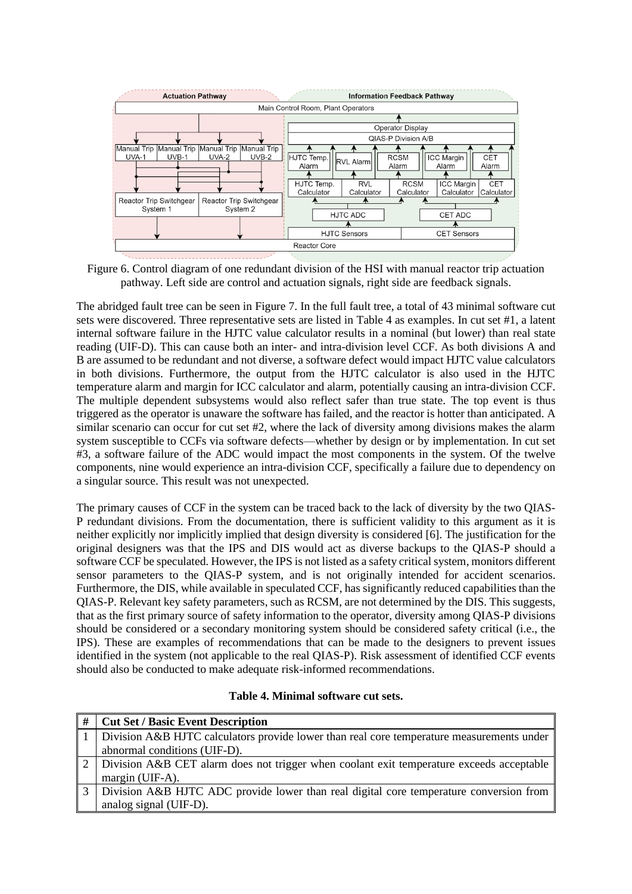

Figure 6. Control diagram of one redundant division of the HSI with manual reactor trip actuation pathway. Left side are control and actuation signals, right side are feedback signals.

The abridged fault tree can be seen in Figure 7. In the full fault tree, a total of 43 minimal software cut sets were discovered. Three representative sets are listed in Table 4 as examples. In cut set #1, a latent internal software failure in the HJTC value calculator results in a nominal (but lower) than real state reading (UIF-D). This can cause both an inter- and intra-division level CCF. As both divisions A and B are assumed to be redundant and not diverse, a software defect would impact HJTC value calculators in both divisions. Furthermore, the output from the HJTC calculator is also used in the HJTC temperature alarm and margin for ICC calculator and alarm, potentially causing an intra-division CCF. The multiple dependent subsystems would also reflect safer than true state. The top event is thus triggered as the operator is unaware the software has failed, and the reactor is hotter than anticipated. A similar scenario can occur for cut set #2, where the lack of diversity among divisions makes the alarm system susceptible to CCFs via software defects—whether by design or by implementation. In cut set #3, a software failure of the ADC would impact the most components in the system. Of the twelve components, nine would experience an intra-division CCF, specifically a failure due to dependency on a singular source. This result was not unexpected.

The primary causes of CCF in the system can be traced back to the lack of diversity by the two QIAS-P redundant divisions. From the documentation, there is sufficient validity to this argument as it is neither explicitly nor implicitly implied that design diversity is considered [6]. The justification for the original designers was that the IPS and DIS would act as diverse backups to the QIAS-P should a software CCF be speculated. However, the IPS is not listed as a safety critical system, monitors different sensor parameters to the QIAS-P system, and is not originally intended for accident scenarios. Furthermore, the DIS, while available in speculated CCF, has significantly reduced capabilities than the QIAS-P. Relevant key safety parameters, such as RCSM, are not determined by the DIS. This suggests, that as the first primary source of safety information to the operator, diversity among QIAS-P divisions should be considered or a secondary monitoring system should be considered safety critical (i.e., the IPS). These are examples of recommendations that can be made to the designers to prevent issues identified in the system (not applicable to the real QIAS-P). Risk assessment of identified CCF events should also be conducted to make adequate risk-informed recommendations.

#### **Table 4. Minimal software cut sets.**

| #              | <b>Cut Set / Basic Event Description</b>                                                    |
|----------------|---------------------------------------------------------------------------------------------|
|                | 1 Division A&B HJTC calculators provide lower than real core temperature measurements under |
|                | abnormal conditions (UIF-D).                                                                |
|                | 2 Division A&B CET alarm does not trigger when coolant exit temperature exceeds acceptable  |
|                | margin (UIF-A).                                                                             |
| 3 <sup>1</sup> | Division A&B HJTC ADC provide lower than real digital core temperature conversion from      |
|                | analog signal (UIF-D).                                                                      |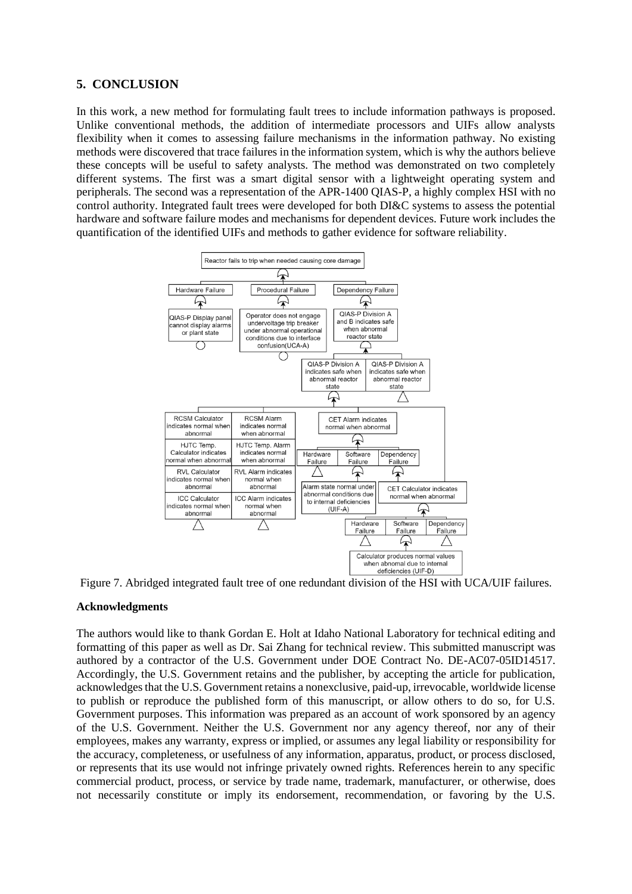## **5. CONCLUSION**

In this work, a new method for formulating fault trees to include information pathways is proposed. Unlike conventional methods, the addition of intermediate processors and UIFs allow analysts flexibility when it comes to assessing failure mechanisms in the information pathway. No existing methods were discovered that trace failures in the information system, which is why the authors believe these concepts will be useful to safety analysts. The method was demonstrated on two completely different systems. The first was a smart digital sensor with a lightweight operating system and peripherals. The second was a representation of the APR-1400 QIAS-P, a highly complex HSI with no control authority. Integrated fault trees were developed for both DI&C systems to assess the potential hardware and software failure modes and mechanisms for dependent devices. Future work includes the quantification of the identified UIFs and methods to gather evidence for software reliability.



Figure 7. Abridged integrated fault tree of one redundant division of the HSI with UCA/UIF failures.

#### **Acknowledgments**

The authors would like to thank Gordan E. Holt at Idaho National Laboratory for technical editing and formatting of this paper as well as Dr. Sai Zhang for technical review. This submitted manuscript was authored by a contractor of the U.S. Government under DOE Contract No. DE-AC07-05ID14517. Accordingly, the U.S. Government retains and the publisher, by accepting the article for publication, acknowledgesthat the U.S. Government retains a nonexclusive, paid-up, irrevocable, worldwide license to publish or reproduce the published form of this manuscript, or allow others to do so, for U.S. Government purposes. This information was prepared as an account of work sponsored by an agency of the U.S. Government. Neither the U.S. Government nor any agency thereof, nor any of their employees, makes any warranty, express or implied, or assumes any legal liability or responsibility for the accuracy, completeness, or usefulness of any information, apparatus, product, or process disclosed, or represents that its use would not infringe privately owned rights. References herein to any specific commercial product, process, or service by trade name, trademark, manufacturer, or otherwise, does not necessarily constitute or imply its endorsement, recommendation, or favoring by the U.S.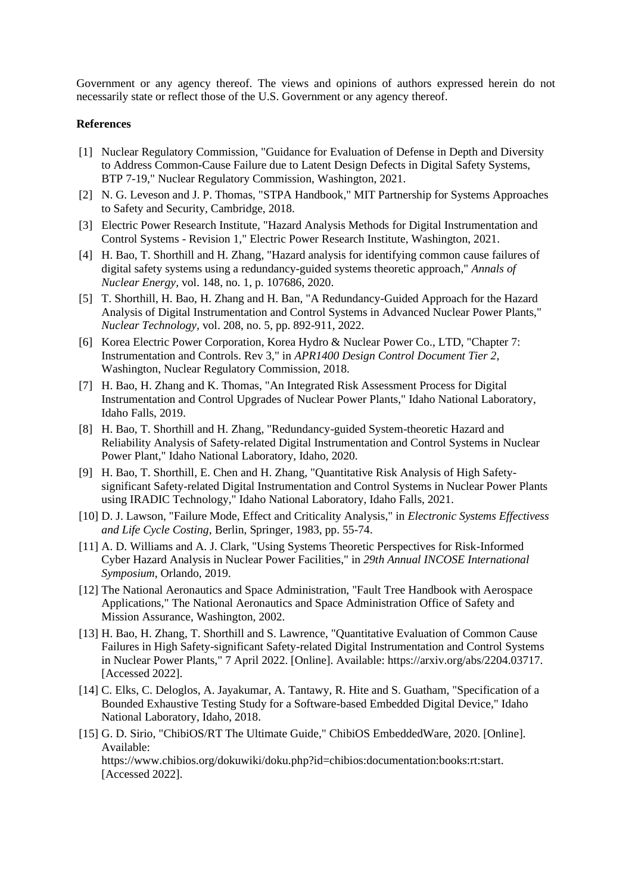Government or any agency thereof. The views and opinions of authors expressed herein do not necessarily state or reflect those of the U.S. Government or any agency thereof.

#### **References**

- [1] Nuclear Regulatory Commission, "Guidance for Evaluation of Defense in Depth and Diversity to Address Common-Cause Failure due to Latent Design Defects in Digital Safety Systems, BTP 7-19," Nuclear Regulatory Commission, Washington, 2021.
- [2] N. G. Leveson and J. P. Thomas, "STPA Handbook," MIT Partnership for Systems Approaches to Safety and Security, Cambridge, 2018.
- [3] Electric Power Research Institute, "Hazard Analysis Methods for Digital Instrumentation and Control Systems - Revision 1," Electric Power Research Institute, Washington, 2021.
- [4] H. Bao, T. Shorthill and H. Zhang, "Hazard analysis for identifying common cause failures of digital safety systems using a redundancy-guided systems theoretic approach," *Annals of Nuclear Energy,* vol. 148, no. 1, p. 107686, 2020.
- [5] T. Shorthill, H. Bao, H. Zhang and H. Ban, "A Redundancy-Guided Approach for the Hazard Analysis of Digital Instrumentation and Control Systems in Advanced Nuclear Power Plants," *Nuclear Technology,* vol. 208, no. 5, pp. 892-911, 2022.
- [6] Korea Electric Power Corporation, Korea Hydro & Nuclear Power Co., LTD, "Chapter 7: Instrumentation and Controls. Rev 3," in *APR1400 Design Control Document Tier 2*, Washington, Nuclear Regulatory Commission, 2018.
- [7] H. Bao, H. Zhang and K. Thomas, "An Integrated Risk Assessment Process for Digital Instrumentation and Control Upgrades of Nuclear Power Plants," Idaho National Laboratory, Idaho Falls, 2019.
- [8] H. Bao, T. Shorthill and H. Zhang, "Redundancy-guided System-theoretic Hazard and Reliability Analysis of Safety-related Digital Instrumentation and Control Systems in Nuclear Power Plant," Idaho National Laboratory, Idaho, 2020.
- [9] H. Bao, T. Shorthill, E. Chen and H. Zhang, "Quantitative Risk Analysis of High Safetysignificant Safety-related Digital Instrumentation and Control Systems in Nuclear Power Plants using IRADIC Technology," Idaho National Laboratory, Idaho Falls, 2021.
- [10] D. J. Lawson, "Failure Mode, Effect and Criticality Analysis," in *Electronic Systems Effectivess and Life Cycle Costing*, Berlin, Springer, 1983, pp. 55-74.
- [11] A. D. Williams and A. J. Clark, "Using Systems Theoretic Perspectives for Risk-Informed Cyber Hazard Analysis in Nuclear Power Facilities," in *29th Annual INCOSE International Symposium*, Orlando, 2019.
- [12] The National Aeronautics and Space Administration, "Fault Tree Handbook with Aerospace Applications," The National Aeronautics and Space Administration Office of Safety and Mission Assurance, Washington, 2002.
- [13] H. Bao, H. Zhang, T. Shorthill and S. Lawrence, "Quantitative Evaluation of Common Cause Failures in High Safety-significant Safety-related Digital Instrumentation and Control Systems in Nuclear Power Plants," 7 April 2022. [Online]. Available: https://arxiv.org/abs/2204.03717. [Accessed 2022].
- [14] C. Elks, C. Deloglos, A. Jayakumar, A. Tantawy, R. Hite and S. Guatham, "Specification of a Bounded Exhaustive Testing Study for a Software-based Embedded Digital Device," Idaho National Laboratory, Idaho, 2018.
- [15] G. D. Sirio, "ChibiOS/RT The Ultimate Guide," ChibiOS EmbeddedWare, 2020. [Online]. Available:

https://www.chibios.org/dokuwiki/doku.php?id=chibios:documentation:books:rt:start. [Accessed 2022].